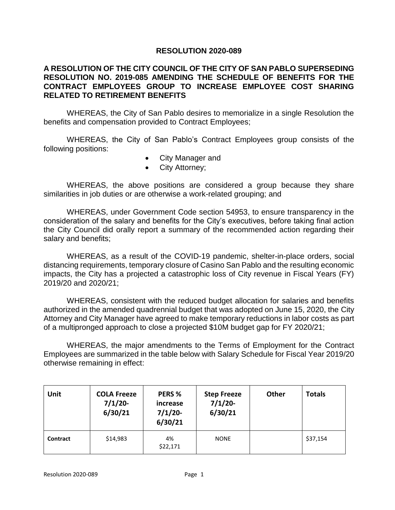## **RESOLUTION 2020-089**

## **A RESOLUTION OF THE CITY COUNCIL OF THE CITY OF SAN PABLO SUPERSEDING RESOLUTION NO. 2019-085 AMENDING THE SCHEDULE OF BENEFITS FOR THE CONTRACT EMPLOYEES GROUP TO INCREASE EMPLOYEE COST SHARING RELATED TO RETIREMENT BENEFITS**

WHEREAS, the City of San Pablo desires to memorialize in a single Resolution the benefits and compensation provided to Contract Employees;

WHEREAS, the City of San Pablo's Contract Employees group consists of the following positions:

- City Manager and
- City Attorney;

WHEREAS, the above positions are considered a group because they share similarities in job duties or are otherwise a work-related grouping; and

WHEREAS, under Government Code section 54953, to ensure transparency in the consideration of the salary and benefits for the City's executives, before taking final action the City Council did orally report a summary of the recommended action regarding their salary and benefits;

WHEREAS, as a result of the COVID-19 pandemic, shelter-in-place orders, social distancing requirements, temporary closure of Casino San Pablo and the resulting economic impacts, the City has a projected a catastrophic loss of City revenue in Fiscal Years (FY) 2019/20 and 2020/21;

WHEREAS, consistent with the reduced budget allocation for salaries and benefits authorized in the amended quadrennial budget that was adopted on June 15, 2020, the City Attorney and City Manager have agreed to make temporary reductions in labor costs as part of a multipronged approach to close a projected \$10M budget gap for FY 2020/21;

WHEREAS, the major amendments to the Terms of Employment for the Contract Employees are summarized in the table below with Salary Schedule for Fiscal Year 2019/20 otherwise remaining in effect:

| Unit     | <b>COLA Freeze</b><br>7/1/20<br>6/30/21 | PERS %<br>increase<br>7/1/20<br>6/30/21 | <b>Step Freeze</b><br>$7/1/20$ -<br>6/30/21 | Other | <b>Totals</b> |
|----------|-----------------------------------------|-----------------------------------------|---------------------------------------------|-------|---------------|
| Contract | \$14,983                                | 4%<br>\$22,171                          | <b>NONE</b>                                 |       | \$37,154      |